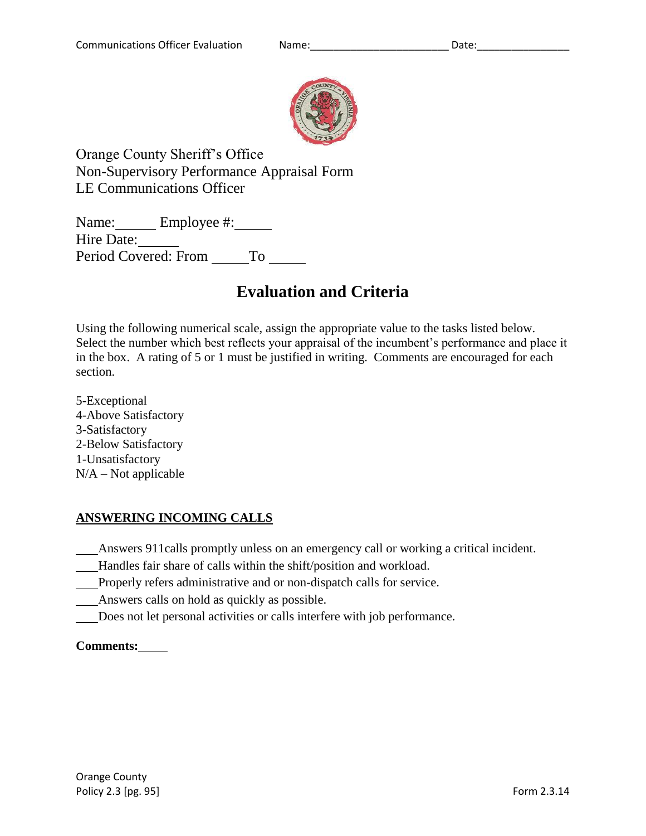

Orange County Sheriff's Office Non-Supervisory Performance Appraisal Form LE Communications Officer

Name: Employee #: Hire Date: Period Covered: From To

# **Evaluation and Criteria**

Using the following numerical scale, assign the appropriate value to the tasks listed below. Select the number which best reflects your appraisal of the incumbent's performance and place it in the box. A rating of 5 or 1 must be justified in writing. Comments are encouraged for each section.

5-Exceptional 4-Above Satisfactory 3-Satisfactory 2-Below Satisfactory 1-Unsatisfactory  $N/A - Not$  applicable

# **ANSWERING INCOMING CALLS**

Answers 911calls promptly unless on an emergency call or working a critical incident.

- Handles fair share of calls within the shift/position and workload.
- Properly refers administrative and or non-dispatch calls for service.
- Answers calls on hold as quickly as possible.
- Does not let personal activities or calls interfere with job performance.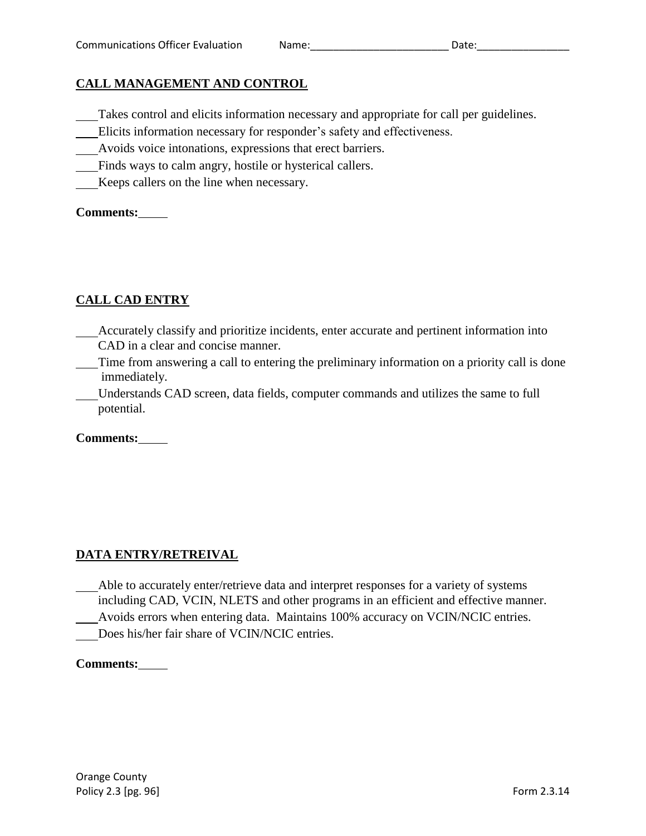## **CALL MANAGEMENT AND CONTROL**

- Takes control and elicits information necessary and appropriate for call per guidelines.
- Elicits information necessary for responder's safety and effectiveness.
- Avoids voice intonations, expressions that erect barriers.
- Finds ways to calm angry, hostile or hysterical callers.
- Keeps callers on the line when necessary.

#### **Comments:**

# **CALL CAD ENTRY**

- Accurately classify and prioritize incidents, enter accurate and pertinent information into CAD in a clear and concise manner.
- Time from answering a call to entering the preliminary information on a priority call is done immediately.
- Understands CAD screen, data fields, computer commands and utilizes the same to full potential.

**Comments:**

# **DATA ENTRY/RETREIVAL**

- Able to accurately enter/retrieve data and interpret responses for a variety of systems including CAD, VCIN, NLETS and other programs in an efficient and effective manner.
- Avoids errors when entering data. Maintains 100% accuracy on VCIN/NCIC entries.
- Does his/her fair share of VCIN/NCIC entries.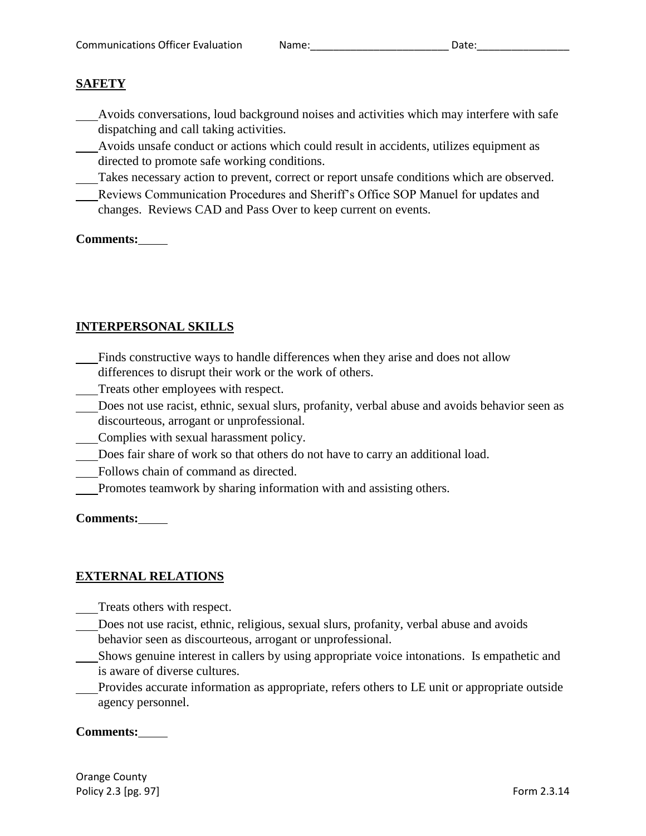# **SAFETY**

- Avoids conversations, loud background noises and activities which may interfere with safe dispatching and call taking activities.
- Avoids unsafe conduct or actions which could result in accidents, utilizes equipment as directed to promote safe working conditions.
- Takes necessary action to prevent, correct or report unsafe conditions which are observed.
- Reviews Communication Procedures and Sheriff's Office SOP Manuel for updates and changes. Reviews CAD and Pass Over to keep current on events.

## **Comments:**

# **INTERPERSONAL SKILLS**

- Finds constructive ways to handle differences when they arise and does not allow differences to disrupt their work or the work of others.
- Treats other employees with respect.
- Does not use racist, ethnic, sexual slurs, profanity, verbal abuse and avoids behavior seen as discourteous, arrogant or unprofessional.
- Complies with sexual harassment policy.
- Does fair share of work so that others do not have to carry an additional load.
- Follows chain of command as directed.
- Promotes teamwork by sharing information with and assisting others.

## **Comments:**

# **EXTERNAL RELATIONS**

- Treats others with respect.
- Does not use racist, ethnic, religious, sexual slurs, profanity, verbal abuse and avoids behavior seen as discourteous, arrogant or unprofessional.
- Shows genuine interest in callers by using appropriate voice intonations. Is empathetic and is aware of diverse cultures.

Provides accurate information as appropriate, refers others to LE unit or appropriate outside agency personnel.

## **Comments:**

Orange County Policy 2.3 [pg. 97] **Form 2.3.14** Form 2.3.14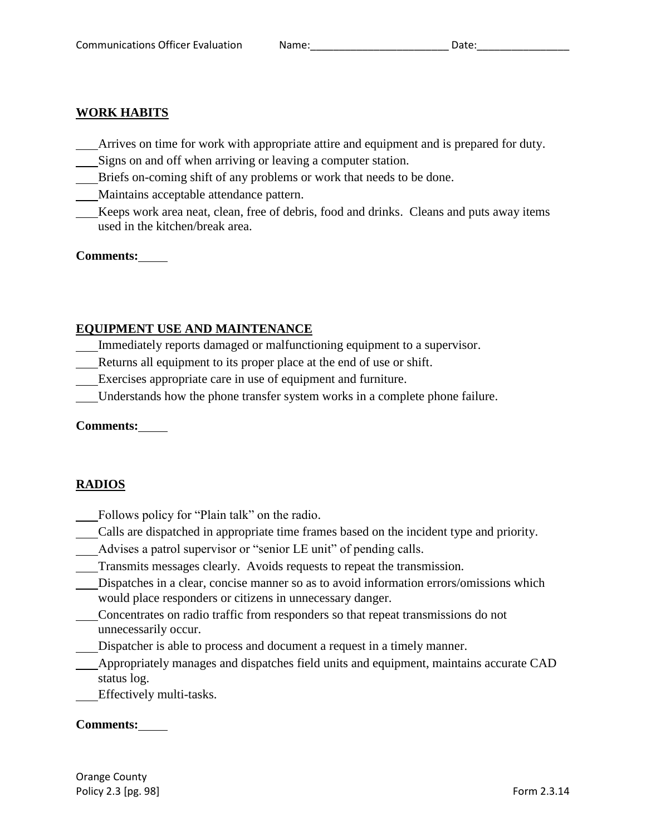### **WORK HABITS**

- Arrives on time for work with appropriate attire and equipment and is prepared for duty.
- Signs on and off when arriving or leaving a computer station.
- Briefs on-coming shift of any problems or work that needs to be done.
- Maintains acceptable attendance pattern.
- Keeps work area neat, clean, free of debris, food and drinks. Cleans and puts away items used in the kitchen/break area.

#### **Comments:**

## **EQUIPMENT USE AND MAINTENANCE**

- Immediately reports damaged or malfunctioning equipment to a supervisor.
- Returns all equipment to its proper place at the end of use or shift.
- Exercises appropriate care in use of equipment and furniture.
- Understands how the phone transfer system works in a complete phone failure.

## **Comments:**

## **RADIOS**

- Follows policy for "Plain talk" on the radio.
- Calls are dispatched in appropriate time frames based on the incident type and priority.
- Advises a patrol supervisor or "senior LE unit" of pending calls.
- Transmits messages clearly. Avoids requests to repeat the transmission.
- Dispatches in a clear, concise manner so as to avoid information errors/omissions which would place responders or citizens in unnecessary danger.
- Concentrates on radio traffic from responders so that repeat transmissions do not unnecessarily occur.
- Dispatcher is able to process and document a request in a timely manner.
- Appropriately manages and dispatches field units and equipment, maintains accurate CAD status log.

Effectively multi-tasks.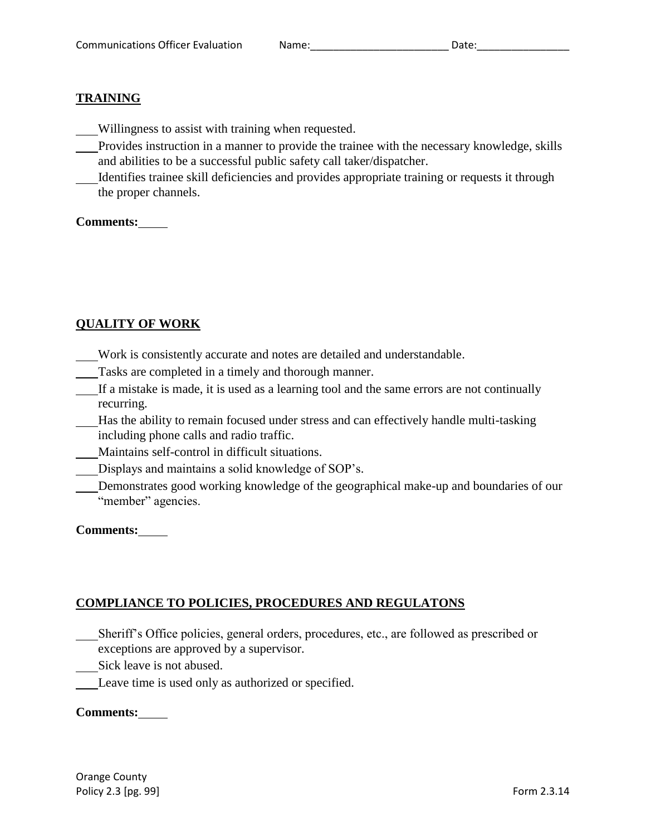# **TRAINING**

- Willingness to assist with training when requested.
- Provides instruction in a manner to provide the trainee with the necessary knowledge, skills and abilities to be a successful public safety call taker/dispatcher.
- Identifies trainee skill deficiencies and provides appropriate training or requests it through the proper channels.

#### **Comments:**

# **QUALITY OF WORK**

- Work is consistently accurate and notes are detailed and understandable.
- Tasks are completed in a timely and thorough manner.
- If a mistake is made, it is used as a learning tool and the same errors are not continually recurring.
- Has the ability to remain focused under stress and can effectively handle multi-tasking including phone calls and radio traffic.
- Maintains self-control in difficult situations.
- Displays and maintains a solid knowledge of SOP's.
- Demonstrates good working knowledge of the geographical make-up and boundaries of our "member" agencies.

## **Comments:**

# **COMPLIANCE TO POLICIES, PROCEDURES AND REGULATONS**

- Sheriff's Office policies, general orders, procedures, etc., are followed as prescribed or exceptions are approved by a supervisor.
- Sick leave is not abused.
- Leave time is used only as authorized or specified.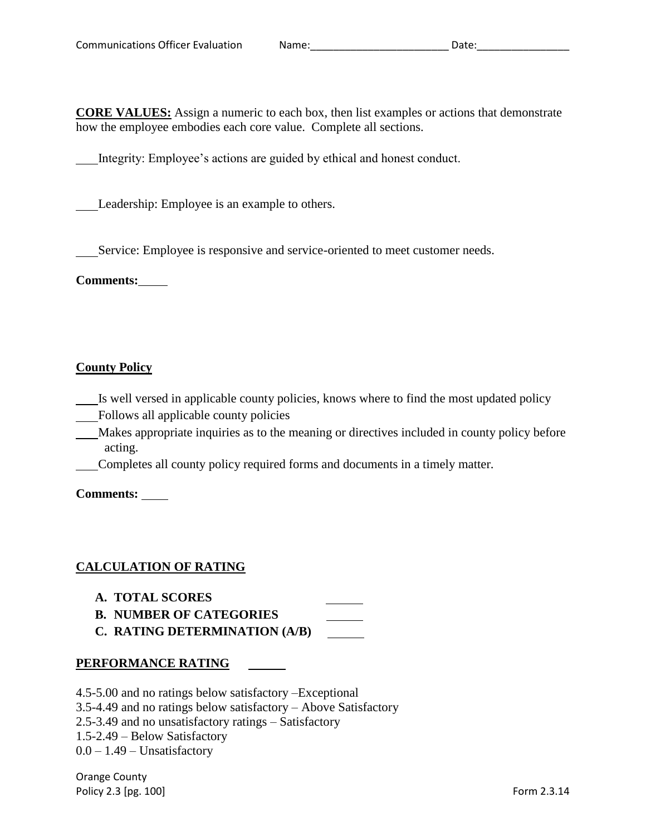**CORE VALUES:** Assign a numeric to each box, then list examples or actions that demonstrate how the employee embodies each core value. Complete all sections.

Integrity: Employee's actions are guided by ethical and honest conduct.

Leadership: Employee is an example to others.

Service: Employee is responsive and service-oriented to meet customer needs.

**Comments:**

#### **County Policy**

- Is well versed in applicable county policies, knows where to find the most updated policy
- Follows all applicable county policies
- Makes appropriate inquiries as to the meaning or directives included in county policy before acting.
- Completes all county policy required forms and documents in a timely matter.

**Comments:** 

## **CALCULATION OF RATING**

- **A. TOTAL SCORES**
- **B. NUMBER OF CATEGORIES**
- **C. RATING DETERMINATION (A/B)**

#### **PERFORMANCE RATING**

4.5-5.00 and no ratings below satisfactory –Exceptional

3.5-4.49 and no ratings below satisfactory – Above Satisfactory

- 2.5-3.49 and no unsatisfactory ratings Satisfactory
- 1.5-2.49 Below Satisfactory

 $0.0 - 1.49$  – Unsatisfactory

Orange County Policy 2.3 [pg. 100] **Form 2.3.14** Form 2.3.14